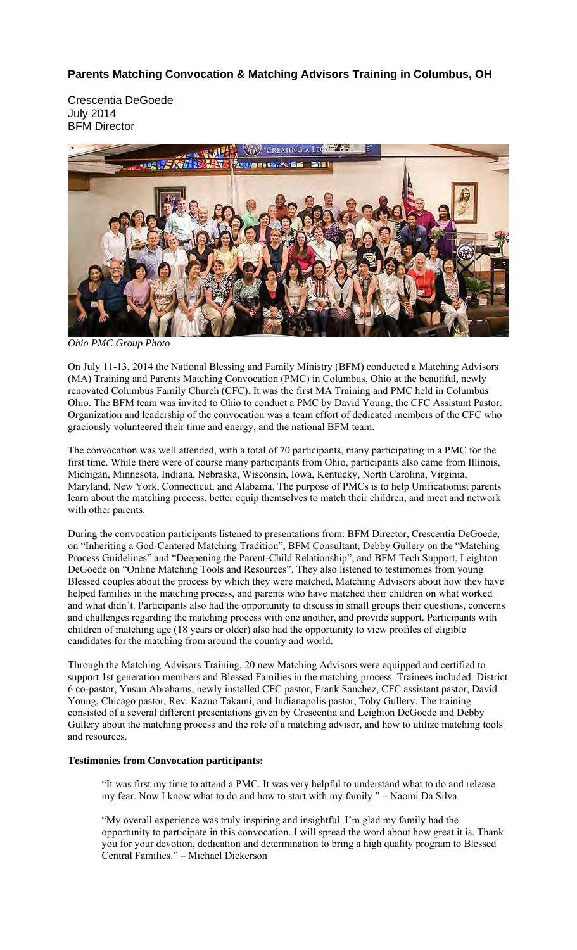## **Parents Matching Convocation & Matching Advisors Training in Columbus, OH**

Crescentia DeGoede July 2014 BFM Director



*Ohio PMC Group Photo* 

On July 11-13, 2014 the National Blessing and Family Ministry (BFM) conducted a Matching Advisors (MA) Training and Parents Matching Convocation (PMC) in Columbus, Ohio at the beautiful, newly renovated Columbus Family Church (CFC). It was the first MA Training and PMC held in Columbus Ohio. The BFM team was invited to Ohio to conduct a PMC by David Young, the CFC Assistant Pastor. Organization and leadership of the convocation was a team effort of dedicated members of the CFC who graciously volunteered their time and energy, and the national BFM team.

The convocation was well attended, with a total of 70 participants, many participating in a PMC for the first time. While there were of course many participants from Ohio, participants also came from Illinois, Michigan, Minnesota, Indiana, Nebraska, Wisconsin, Iowa, Kentucky, North Carolina, Virginia, Maryland, New York, Connecticut, and Alabama. The purpose of PMCs is to help Unificationist parents learn about the matching process, better equip themselves to match their children, and meet and network with other parents.

During the convocation participants listened to presentations from: BFM Director, Crescentia DeGoede, on "Inheriting a God-Centered Matching Tradition", BFM Consultant, Debby Gullery on the "Matching Process Guidelines" and "Deepening the Parent-Child Relationship", and BFM Tech Support, Leighton DeGoede on "Online Matching Tools and Resources". They also listened to testimonies from young Blessed couples about the process by which they were matched, Matching Advisors about how they have helped families in the matching process, and parents who have matched their children on what worked and what didn't. Participants also had the opportunity to discuss in small groups their questions, concerns and challenges regarding the matching process with one another, and provide support. Participants with children of matching age (18 years or older) also had the opportunity to view profiles of eligible candidates for the matching from around the country and world.

Through the Matching Advisors Training, 20 new Matching Advisors were equipped and certified to support 1st generation members and Blessed Families in the matching process. Trainees included: District 6 co-pastor, Yusun Abrahams, newly installed CFC pastor, Frank Sanchez, CFC assistant pastor, David Young, Chicago pastor, Rev. Kazuo Takami, and Indianapolis pastor, Toby Gullery. The training consisted of a several different presentations given by Crescentia and Leighton DeGoede and Debby Gullery about the matching process and the role of a matching advisor, and how to utilize matching tools and resources.

## **Testimonies from Convocation participants:**

"It was first my time to attend a PMC. It was very helpful to understand what to do and release my fear. Now I know what to do and how to start with my family." – Naomi Da Silva

"My overall experience was truly inspiring and insightful. I'm glad my family had the opportunity to participate in this convocation. I will spread the word about how great it is. Thank you for your devotion, dedication and determination to bring a high quality program to Blessed Central Families." – Michael Dickerson